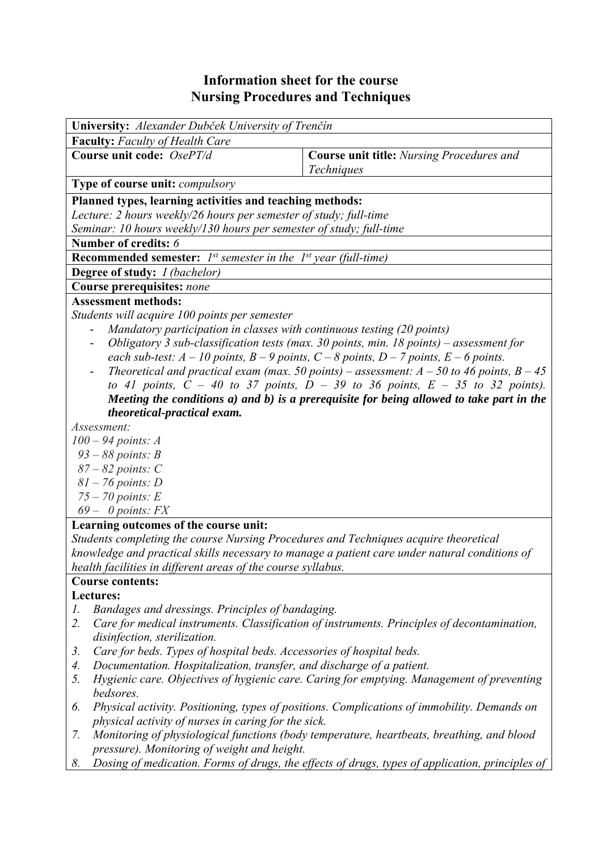## **Information sheet for the course Nursing Procedures and Techniques**

| University: Alexander Dubček University of Trenčín                                              |                                                                                             |  |  |  |  |  |
|-------------------------------------------------------------------------------------------------|---------------------------------------------------------------------------------------------|--|--|--|--|--|
| <b>Faculty:</b> Faculty of Health Care                                                          |                                                                                             |  |  |  |  |  |
| Course unit code: OsePT/d                                                                       | <b>Course unit title:</b> Nursing Procedures and                                            |  |  |  |  |  |
|                                                                                                 | <b>Techniques</b>                                                                           |  |  |  |  |  |
| <b>Type of course unit:</b> <i>compulsory</i>                                                   |                                                                                             |  |  |  |  |  |
| Planned types, learning activities and teaching methods:                                        |                                                                                             |  |  |  |  |  |
| Lecture: 2 hours weekly/26 hours per semester of study; full-time                               |                                                                                             |  |  |  |  |  |
| Seminar: 10 hours weekly/130 hours per semester of study; full-time                             |                                                                                             |  |  |  |  |  |
| Number of credits: 6                                                                            |                                                                                             |  |  |  |  |  |
| <b>Recommended semester:</b> $I^{st}$ semester in the $I^{st}$ year (full-time)                 |                                                                                             |  |  |  |  |  |
| <b>Degree of study:</b> <i>I (bachelor)</i>                                                     |                                                                                             |  |  |  |  |  |
| Course prerequisites: none                                                                      |                                                                                             |  |  |  |  |  |
| <b>Assessment methods:</b>                                                                      |                                                                                             |  |  |  |  |  |
| Students will acquire 100 points per semester                                                   |                                                                                             |  |  |  |  |  |
| Mandatory participation in classes with continuous testing (20 points)                          |                                                                                             |  |  |  |  |  |
| Obligatory 3 sub-classification tests (max. 30 points, min. 18 points) – assessment for         |                                                                                             |  |  |  |  |  |
| each sub-test: $A - 10$ points, $B - 9$ points, $C - 8$ points, $D - 7$ points, $E - 6$ points. |                                                                                             |  |  |  |  |  |
| Theoretical and practical exam (max. 50 points) – assessment: $A - 50$ to 46 points, $B - 45$   |                                                                                             |  |  |  |  |  |
| to 41 points, $C - 40$ to 37 points, $D - 39$ to 36 points, $E - 35$ to 32 points).             |                                                                                             |  |  |  |  |  |
|                                                                                                 | Meeting the conditions a) and b) is a prerequisite for being allowed to take part in the    |  |  |  |  |  |
| theoretical-practical exam.                                                                     |                                                                                             |  |  |  |  |  |
| Assessment:                                                                                     |                                                                                             |  |  |  |  |  |
| $100 - 94$ points: A                                                                            |                                                                                             |  |  |  |  |  |
| $93 - 88$ points: B                                                                             |                                                                                             |  |  |  |  |  |
| $87 - 82$ points: C<br>$81 - 76$ points: D                                                      |                                                                                             |  |  |  |  |  |
| $75 - 70$ points: E                                                                             |                                                                                             |  |  |  |  |  |
| $69 - 0$ points: FX                                                                             |                                                                                             |  |  |  |  |  |
| Learning outcomes of the course unit:                                                           |                                                                                             |  |  |  |  |  |
| Students completing the course Nursing Procedures and Techniques acquire theoretical            |                                                                                             |  |  |  |  |  |
| knowledge and practical skills necessary to manage a patient care under natural conditions of   |                                                                                             |  |  |  |  |  |
| health facilities in different areas of the course syllabus.                                    |                                                                                             |  |  |  |  |  |
| <b>Course contents:</b>                                                                         |                                                                                             |  |  |  |  |  |
| Lectures:                                                                                       |                                                                                             |  |  |  |  |  |
| Bandages and dressings. Principles of bandaging.<br>1.                                          |                                                                                             |  |  |  |  |  |
| 2.                                                                                              | Care for medical instruments. Classification of instruments. Principles of decontamination, |  |  |  |  |  |
| disinfection, sterilization.                                                                    |                                                                                             |  |  |  |  |  |
| Care for beds. Types of hospital beds. Accessories of hospital beds.<br>3.                      |                                                                                             |  |  |  |  |  |
| 4.                                                                                              | Documentation. Hospitalization, transfer, and discharge of a patient.                       |  |  |  |  |  |
| Hygienic care. Objectives of hygienic care. Caring for emptying. Management of preventing<br>5. |                                                                                             |  |  |  |  |  |
| bedsores.                                                                                       |                                                                                             |  |  |  |  |  |
| 6.                                                                                              | Physical activity. Positioning, types of positions. Complications of immobility. Demands on |  |  |  |  |  |
| physical activity of nurses in caring for the sick.                                             |                                                                                             |  |  |  |  |  |
| 7.                                                                                              | Monitoring of physiological functions (body temperature, heartbeats, breathing, and blood   |  |  |  |  |  |
| pressure). Monitoring of weight and height.                                                     |                                                                                             |  |  |  |  |  |

*8. Dosing of medication. Forms of drugs, the effects of drugs, types of application, principles of*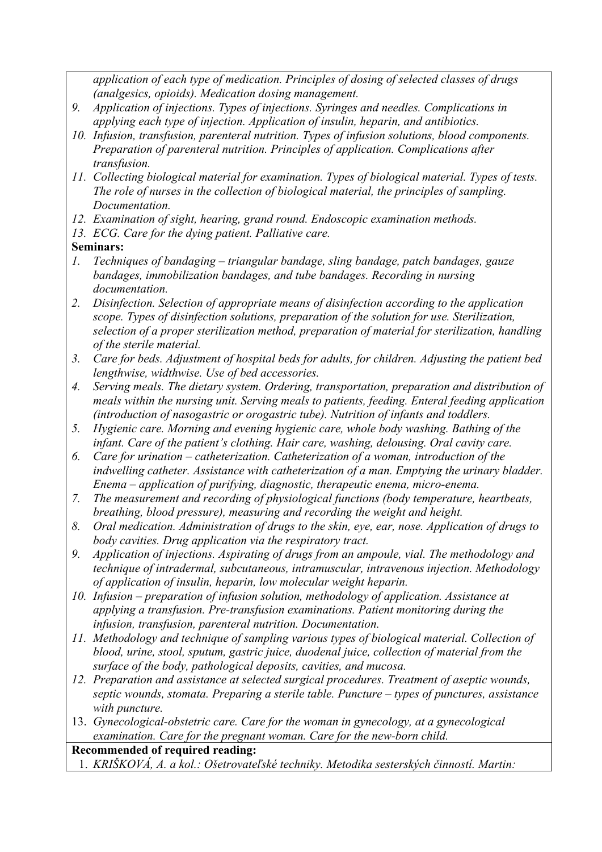*application of each type of medication. Principles of dosing of selected classes of drugs (analgesics, opioids). Medication dosing management.* 

- *9. Application of injections. Types of injections. Syringes and needles. Complications in applying each type of injection. Application of insulin, heparin, and antibiotics.*
- *10. Infusion, transfusion, parenteral nutrition. Types of infusion solutions, blood components. Preparation of parenteral nutrition. Principles of application. Complications after transfusion.*
- *11. Collecting biological material for examination. Types of biological material. Types of tests. The role of nurses in the collection of biological material, the principles of sampling. Documentation.*
- *12. Examination of sight, hearing, grand round. Endoscopic examination methods.*
- *13. ECG. Care for the dying patient. Palliative care.*
- **Seminars:**
- *1. Techniques of bandaging triangular bandage, sling bandage, patch bandages, gauze bandages, immobilization bandages, and tube bandages. Recording in nursing documentation.*
- *2. Disinfection. Selection of appropriate means of disinfection according to the application scope. Types of disinfection solutions, preparation of the solution for use. Sterilization, selection of a proper sterilization method, preparation of material for sterilization, handling of the sterile material.*
- *3. Care for beds. Adjustment of hospital beds for adults, for children. Adjusting the patient bed lengthwise, widthwise. Use of bed accessories.*
- *4. Serving meals. The dietary system. Ordering, transportation, preparation and distribution of meals within the nursing unit. Serving meals to patients, feeding. Enteral feeding application (introduction of nasogastric or orogastric tube). Nutrition of infants and toddlers.*
- *5. Hygienic care. Morning and evening hygienic care, whole body washing. Bathing of the infant. Care of the patient's clothing. Hair care, washing, delousing. Oral cavity care.*
- *6. Care for urination catheterization. Catheterization of a woman, introduction of the indwelling catheter. Assistance with catheterization of a man. Emptying the urinary bladder. Enema – application of purifying, diagnostic, therapeutic enema, micro-enema.*
- *7. The measurement and recording of physiological functions (body temperature, heartbeats, breathing, blood pressure), measuring and recording the weight and height.*
- *8. Oral medication. Administration of drugs to the skin, eye, ear, nose. Application of drugs to body cavities. Drug application via the respiratory tract.*
- *9. Application of injections. Aspirating of drugs from an ampoule, vial. The methodology and technique of intradermal, subcutaneous, intramuscular, intravenous injection. Methodology of application of insulin, heparin, low molecular weight heparin.*
- *10. Infusion preparation of infusion solution, methodology of application. Assistance at applying a transfusion. Pre-transfusion examinations. Patient monitoring during the infusion, transfusion, parenteral nutrition. Documentation.*
- *11. Methodology and technique of sampling various types of biological material. Collection of blood, urine, stool, sputum, gastric juice, duodenal juice, collection of material from the surface of the body, pathological deposits, cavities, and mucosa.*
- *12. Preparation and assistance at selected surgical procedures. Treatment of aseptic wounds, septic wounds, stomata. Preparing a sterile table. Puncture – types of punctures, assistance with puncture.*
- 13. *Gynecological-obstetric care. Care for the woman in gynecology, at a gynecological examination. Care for the pregnant woman. Care for the new-born child.*

**Recommended of required reading:** 

1. *KRIŠKOVÁ, A. a kol.: Ošetrovateľské techniky. Metodika sesterských činností. Martin:*